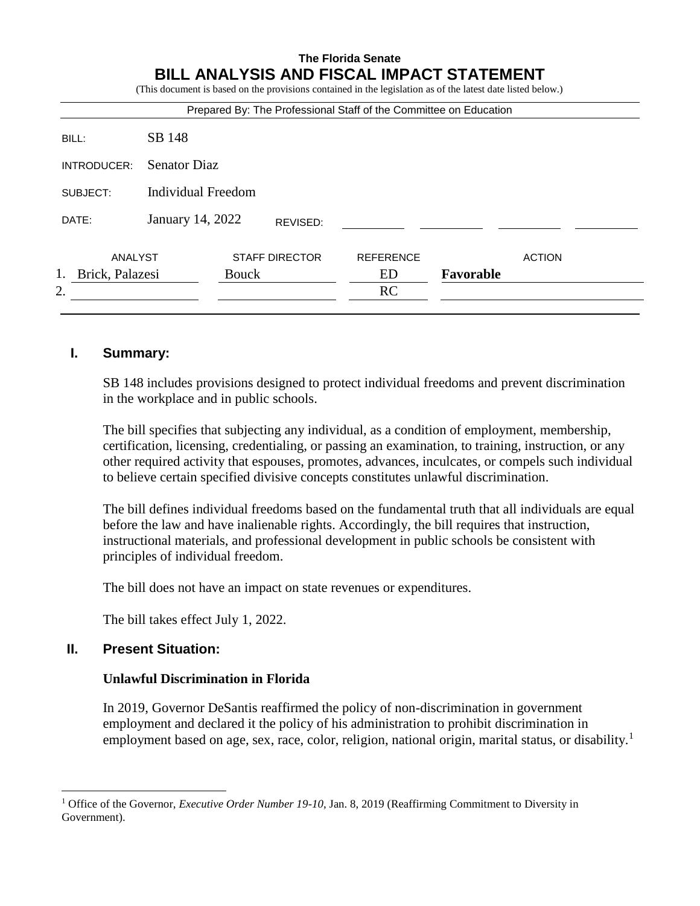# **The Florida Senate BILL ANALYSIS AND FISCAL IMPACT STATEMENT**

(This document is based on the provisions contained in the legislation as of the latest date listed below.)

| Prepared By: The Professional Staff of the Committee on Education |  |                                  |                       |           |               |
|-------------------------------------------------------------------|--|----------------------------------|-----------------------|-----------|---------------|
| SB 148                                                            |  |                                  |                       |           |               |
| <b>Senator Diaz</b>                                               |  |                                  |                       |           |               |
| <b>Individual Freedom</b>                                         |  |                                  |                       |           |               |
|                                                                   |  | REVISED:                         |                       |           |               |
| ANALYST<br>Brick, Palazesi                                        |  |                                  | <b>REFERENCE</b>      |           | <b>ACTION</b> |
|                                                                   |  |                                  | ED                    | Favorable |               |
|                                                                   |  |                                  | <b>RC</b>             |           |               |
|                                                                   |  | January 14, 2022<br><b>Bouck</b> | <b>STAFF DIRECTOR</b> |           |               |

### **I. Summary:**

SB 148 includes provisions designed to protect individual freedoms and prevent discrimination in the workplace and in public schools.

The bill specifies that subjecting any individual, as a condition of employment, membership, certification, licensing, credentialing, or passing an examination, to training, instruction, or any other required activity that espouses, promotes, advances, inculcates, or compels such individual to believe certain specified divisive concepts constitutes unlawful discrimination.

The bill defines individual freedoms based on the fundamental truth that all individuals are equal before the law and have inalienable rights. Accordingly, the bill requires that instruction, instructional materials, and professional development in public schools be consistent with principles of individual freedom.

The bill does not have an impact on state revenues or expenditures.

The bill takes effect July 1, 2022.

# **II. Present Situation:**

 $\overline{a}$ 

### **Unlawful Discrimination in Florida**

In 2019, Governor DeSantis reaffirmed the policy of non-discrimination in government employment and declared it the policy of his administration to prohibit discrimination in employment based on age, sex, race, color, religion, national origin, marital status, or disability.<sup>1</sup>

<sup>&</sup>lt;sup>1</sup> Office of the Governor, *Executive Order Number 19-10*, Jan. 8, 2019 (Reaffirming Commitment to Diversity in Government).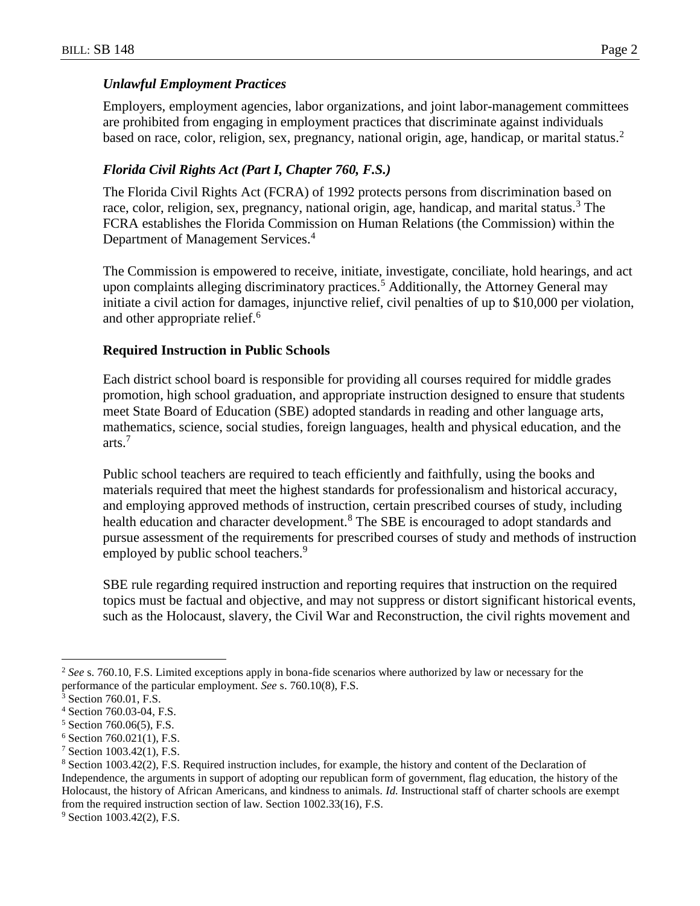#### *Unlawful Employment Practices*

Employers, employment agencies, labor organizations, and joint labor-management committees are prohibited from engaging in employment practices that discriminate against individuals based on race, color, religion, sex, pregnancy, national origin, age, handicap, or marital status.<sup>2</sup>

### *Florida Civil Rights Act (Part I, Chapter 760, F.S.)*

The Florida Civil Rights Act (FCRA) of 1992 protects persons from discrimination based on race, color, religion, sex, pregnancy, national origin, age, handicap, and marital status.<sup>3</sup> The FCRA establishes the Florida Commission on Human Relations (the Commission) within the Department of Management Services.<sup>4</sup>

The Commission is empowered to receive, initiate, investigate, conciliate, hold hearings, and act upon complaints alleging discriminatory practices.<sup>5</sup> Additionally, the Attorney General may initiate a civil action for damages, injunctive relief, civil penalties of up to \$10,000 per violation, and other appropriate relief.<sup>6</sup>

#### **Required Instruction in Public Schools**

Each district school board is responsible for providing all courses required for middle grades promotion, high school graduation, and appropriate instruction designed to ensure that students meet State Board of Education (SBE) adopted standards in reading and other language arts, mathematics, science, social studies, foreign languages, health and physical education, and the arts.<sup>7</sup>

Public school teachers are required to teach efficiently and faithfully, using the books and materials required that meet the highest standards for professionalism and historical accuracy, and employing approved methods of instruction, certain prescribed courses of study, including health education and character development.<sup>8</sup> The SBE is encouraged to adopt standards and pursue assessment of the requirements for prescribed courses of study and methods of instruction employed by public school teachers.<sup>9</sup>

SBE rule regarding required instruction and reporting requires that instruction on the required topics must be factual and objective, and may not suppress or distort significant historical events, such as the Holocaust, slavery, the Civil War and Reconstruction, the civil rights movement and

 $\overline{a}$ 

<sup>2</sup> *See* s. 760.10, F.S. Limited exceptions apply in bona-fide scenarios where authorized by law or necessary for the performance of the particular employment. *See* s. 760.10(8), F.S.

Section 760.01, F.S.

<sup>4</sup> Section 760.03-04, F.S.

<sup>5</sup> Section 760.06(5), F.S.

 $6$  Section 760.021(1), F.S.

 $7$  Section 1003.42(1), F.S.

<sup>8</sup> Section 1003.42(2), F.S. Required instruction includes, for example, the history and content of the Declaration of Independence, the arguments in support of adopting our republican form of government, flag education, the history of the Holocaust, the history of African Americans, and kindness to animals. *Id.* Instructional staff of charter schools are exempt from the required instruction section of law. Section 1002.33(16), F.S.

<sup>&</sup>lt;sup>9</sup> Section 1003.42(2), F.S.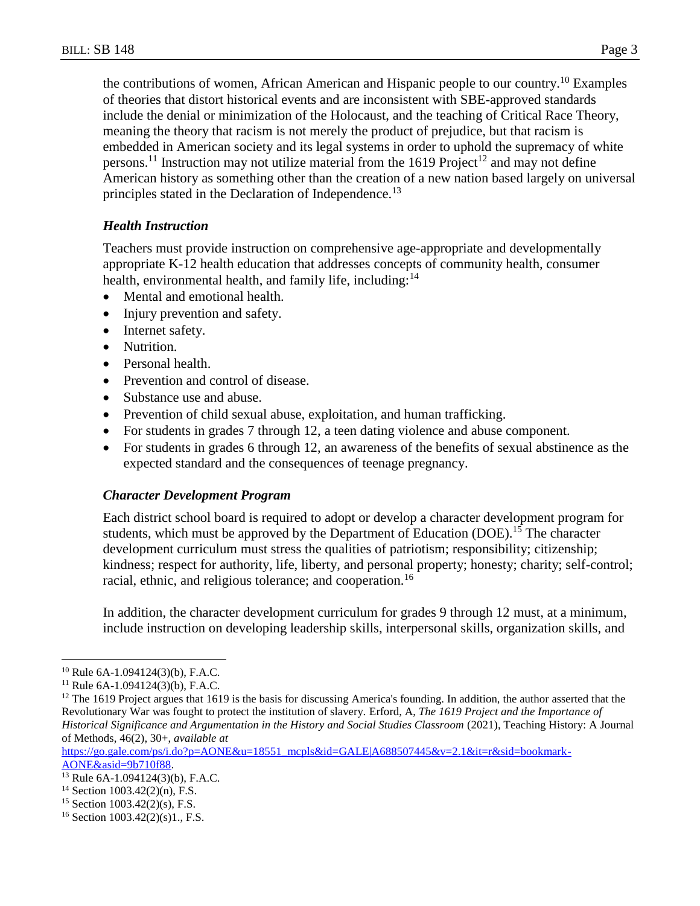the contributions of women, African American and Hispanic people to our country.<sup>10</sup> Examples of theories that distort historical events and are inconsistent with SBE-approved standards include the denial or minimization of the Holocaust, and the teaching of Critical Race Theory, meaning the theory that racism is not merely the product of prejudice, but that racism is embedded in American society and its legal systems in order to uphold the supremacy of white persons.<sup>11</sup> Instruction may not utilize material from the 1619 Project<sup>12</sup> and may not define American history as something other than the creation of a new nation based largely on universal principles stated in the Declaration of Independence.<sup>13</sup>

## *Health Instruction*

Teachers must provide instruction on comprehensive age-appropriate and developmentally appropriate K-12 health education that addresses concepts of community health, consumer health, environmental health, and family life, including:<sup>14</sup>

- Mental and emotional health.
- Injury prevention and safety.
- Internet safety.
- Nutrition.
- Personal health.
- Prevention and control of disease.
- Substance use and abuse.
- Prevention of child sexual abuse, exploitation, and human trafficking.
- For students in grades 7 through 12, a teen dating violence and abuse component.
- For students in grades 6 through 12, an awareness of the benefits of sexual abstinence as the expected standard and the consequences of teenage pregnancy.

### *Character Development Program*

Each district school board is required to adopt or develop a character development program for students, which must be approved by the Department of Education (DOE).<sup>15</sup> The character development curriculum must stress the qualities of patriotism; responsibility; citizenship; kindness; respect for authority, life, liberty, and personal property; honesty; charity; self-control; racial, ethnic, and religious tolerance; and cooperation.<sup>16</sup>

In addition, the character development curriculum for grades 9 through 12 must, at a minimum, include instruction on developing leadership skills, interpersonal skills, organization skills, and

 $\overline{a}$ 

[https://go.gale.com/ps/i.do?p=AONE&u=18551\\_mcpls&id=GALE|A688507445&v=2.1&it=r&sid=bookmark-](https://link.gale.com/apps/doc/A688507445/AONE?u=18551_mcpls&sid=bookmark-AONE&xid=9b710f88)

 $10$  Rule 6A-1.094124(3)(b), F.A.C.

 $11$  Rule 6A-1.094124(3)(b), F.A.C.

<sup>&</sup>lt;sup>12</sup> The 1619 Project argues that 1619 is the basis for discussing America's founding. In addition, the author asserted that the Revolutionary War was fought to protect the institution of slavery. Erford, A, *The 1619 Project and the Importance of Historical Significance and Argumentation in the History and Social Studies Classroom* (2021), Teaching History: A Journal of Methods, 46(2), 30+, *available at*

[AONE&asid=9b710f88.](https://link.gale.com/apps/doc/A688507445/AONE?u=18551_mcpls&sid=bookmark-AONE&xid=9b710f88) <sup>13</sup> Rule 6A-1.094124(3)(b), F.A.C.

 $14$  Section 1003.42(2)(n), F.S.

<sup>15</sup> Section 1003.42(2)(s), F.S.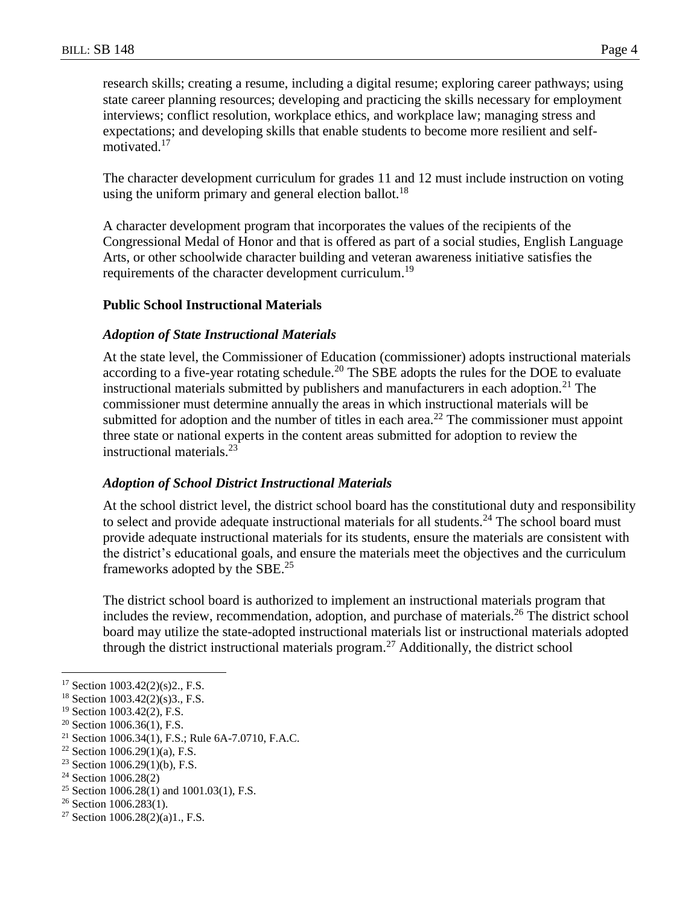research skills; creating a resume, including a digital resume; exploring career pathways; using state career planning resources; developing and practicing the skills necessary for employment interviews; conflict resolution, workplace ethics, and workplace law; managing stress and expectations; and developing skills that enable students to become more resilient and selfmotivated.<sup>17</sup>

The character development curriculum for grades 11 and 12 must include instruction on voting using the uniform primary and general election ballot.<sup>18</sup>

A character development program that incorporates the values of the recipients of the Congressional Medal of Honor and that is offered as part of a social studies, English Language Arts, or other schoolwide character building and veteran awareness initiative satisfies the requirements of the character development curriculum.<sup>19</sup>

### **Public School Instructional Materials**

#### *Adoption of State Instructional Materials*

At the state level, the Commissioner of Education (commissioner) adopts instructional materials according to a five-year rotating schedule.<sup>20</sup> The SBE adopts the rules for the DOE to evaluate instructional materials submitted by publishers and manufacturers in each adoption.<sup>21</sup> The commissioner must determine annually the areas in which instructional materials will be submitted for adoption and the number of titles in each area.<sup>22</sup> The commissioner must appoint three state or national experts in the content areas submitted for adoption to review the instructional materials.<sup>23</sup>

### *Adoption of School District Instructional Materials*

At the school district level, the district school board has the constitutional duty and responsibility to select and provide adequate instructional materials for all students.<sup>24</sup> The school board must provide adequate instructional materials for its students, ensure the materials are consistent with the district's educational goals, and ensure the materials meet the objectives and the curriculum frameworks adopted by the SBE.<sup>25</sup>

The district school board is authorized to implement an instructional materials program that includes the review, recommendation, adoption, and purchase of materials.<sup>26</sup> The district school board may utilize the state-adopted instructional materials list or instructional materials adopted through the district instructional materials program.<sup>27</sup> Additionally, the district school

 $\overline{a}$ 

<sup>17</sup> Section 1003.42(2)(s)2., F.S.

<sup>18</sup> Section 1003.42(2)(s)3., F.S.

<sup>19</sup> Section 1003.42(2), F.S.

 $20$  Section 1006.36(1), F.S.

<sup>21</sup> Section 1006.34(1), F.S.; Rule 6A-7.0710, F.A.C.

<sup>&</sup>lt;sup>22</sup> Section 1006.29(1)(a), F.S.

 $23$  Section 1006.29(1)(b), F.S.

<sup>24</sup> Section 1006.28(2)

<sup>&</sup>lt;sup>25</sup> Section 1006.28(1) and 1001.03(1), F.S.

<sup>&</sup>lt;sup>26</sup> Section 1006.283(1).

<sup>&</sup>lt;sup>27</sup> Section  $1006.28(2)(a)1$ ., F.S.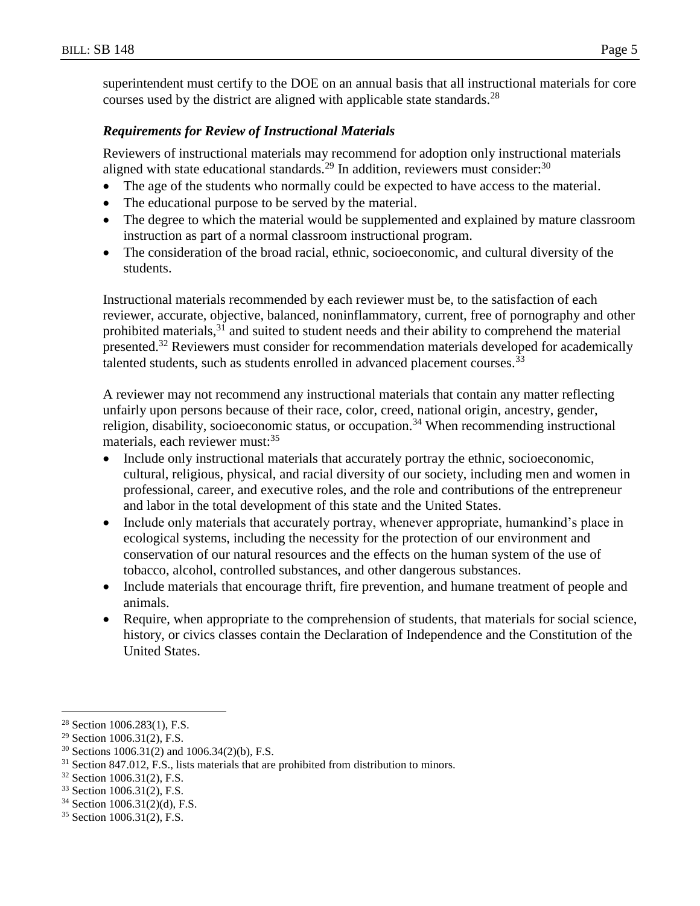superintendent must certify to the DOE on an annual basis that all instructional materials for core courses used by the district are aligned with applicable state standards.<sup>28</sup>

#### *Requirements for Review of Instructional Materials*

Reviewers of instructional materials may recommend for adoption only instructional materials aligned with state educational standards.<sup>29</sup> In addition, reviewers must consider:<sup>30</sup>

- The age of the students who normally could be expected to have access to the material.
- The educational purpose to be served by the material.
- The degree to which the material would be supplemented and explained by mature classroom instruction as part of a normal classroom instructional program.
- The consideration of the broad racial, ethnic, socioeconomic, and cultural diversity of the students.

Instructional materials recommended by each reviewer must be, to the satisfaction of each reviewer, accurate, objective, balanced, noninflammatory, current, free of pornography and other prohibited materials,<sup>31</sup> and suited to student needs and their ability to comprehend the material presented.<sup>32</sup> Reviewers must consider for recommendation materials developed for academically talented students, such as students enrolled in advanced placement courses.<sup>33</sup>

A reviewer may not recommend any instructional materials that contain any matter reflecting unfairly upon persons because of their race, color, creed, national origin, ancestry, gender, religion, disability, socioeconomic status, or occupation.<sup>34</sup> When recommending instructional materials, each reviewer must: 35

- Include only instructional materials that accurately portray the ethnic, socioeconomic, cultural, religious, physical, and racial diversity of our society, including men and women in professional, career, and executive roles, and the role and contributions of the entrepreneur and labor in the total development of this state and the United States.
- Include only materials that accurately portray, whenever appropriate, humankind's place in ecological systems, including the necessity for the protection of our environment and conservation of our natural resources and the effects on the human system of the use of tobacco, alcohol, controlled substances, and other dangerous substances.
- Include materials that encourage thrift, fire prevention, and humane treatment of people and animals.
- Require, when appropriate to the comprehension of students, that materials for social science, history, or civics classes contain the Declaration of Independence and the Constitution of the United States.

 $\overline{a}$ <sup>28</sup> Section 1006.283(1), F.S.

<sup>29</sup> Section 1006.31(2), F.S.

 $30$  Sections 1006.31(2) and 1006.34(2)(b), F.S.

<sup>&</sup>lt;sup>31</sup> Section 847.012, F.S., lists materials that are prohibited from distribution to minors.

<sup>32</sup> Section 1006.31(2), F.S.

<sup>33</sup> Section 1006.31(2), F.S.

<sup>34</sup> Section 1006.31(2)(d), F.S.

<sup>35</sup> Section 1006.31(2), F.S.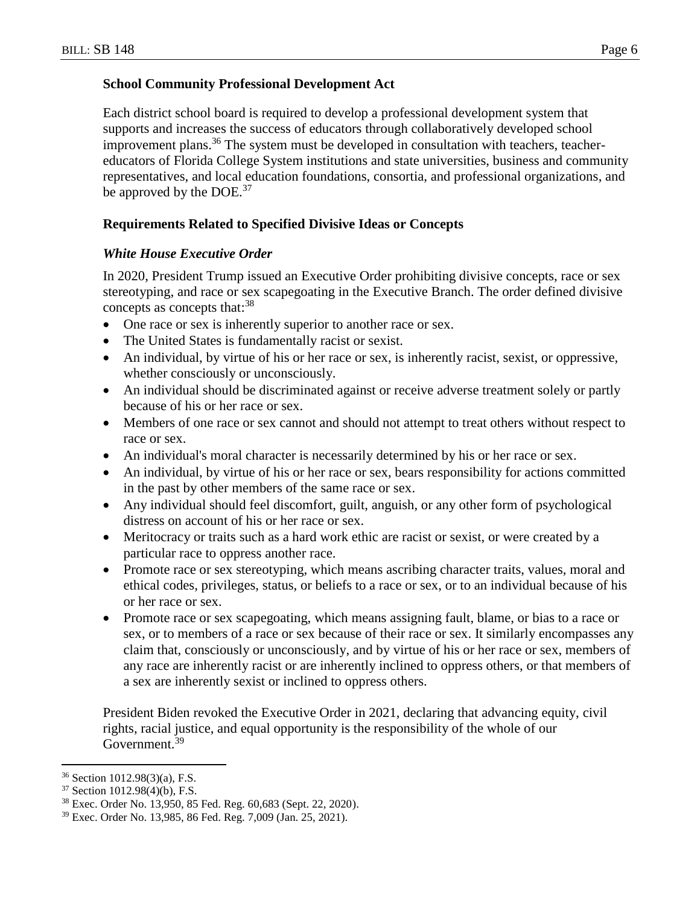### **School Community Professional Development Act**

Each district school board is required to develop a professional development system that supports and increases the success of educators through collaboratively developed school improvement plans. <sup>36</sup> The system must be developed in consultation with teachers, teachereducators of Florida College System institutions and state universities, business and community representatives, and local education foundations, consortia, and professional organizations, and be approved by the  $DOE<sup>37</sup>$ 

## **Requirements Related to Specified Divisive Ideas or Concepts**

### *White House Executive Order*

In 2020, President Trump issued an Executive Order prohibiting divisive concepts, race or sex stereotyping, and race or sex scapegoating in the Executive Branch. The order defined divisive concepts as concepts that:<sup>38</sup>

- One race or sex is inherently superior to another race or sex.
- The United States is fundamentally racist or sexist.
- An individual, by virtue of his or her race or sex, is inherently racist, sexist, or oppressive, whether consciously or unconsciously.
- An individual should be discriminated against or receive adverse treatment solely or partly because of his or her race or sex.
- Members of one race or sex cannot and should not attempt to treat others without respect to race or sex.
- An individual's moral character is necessarily determined by his or her race or sex.
- An individual, by virtue of his or her race or sex, bears responsibility for actions committed in the past by other members of the same race or sex.
- Any individual should feel discomfort, guilt, anguish, or any other form of psychological distress on account of his or her race or sex.
- Meritocracy or traits such as a hard work ethic are racist or sexist, or were created by a particular race to oppress another race.
- Promote race or sex stereotyping, which means ascribing character traits, values, moral and ethical codes, privileges, status, or beliefs to a race or sex, or to an individual because of his or her race or sex.
- Promote race or sex scapegoating, which means assigning fault, blame, or bias to a race or sex, or to members of a race or sex because of their race or sex. It similarly encompasses any claim that, consciously or unconsciously, and by virtue of his or her race or sex, members of any race are inherently racist or are inherently inclined to oppress others, or that members of a sex are inherently sexist or inclined to oppress others.

President Biden revoked the Executive Order in 2021, declaring that advancing equity, civil rights, racial justice, and equal opportunity is the responsibility of the whole of our Government.<sup>39</sup>

 $\overline{a}$ 

<sup>36</sup> Section 1012.98(3)(a), F.S.

<sup>37</sup> Section 1012.98(4)(b), F.S.

<sup>38</sup> Exec. Order No. 13,950, 85 Fed. Reg. 60,683 (Sept. 22, 2020).

<sup>39</sup> Exec. Order No. 13,985, 86 Fed. Reg. 7,009 (Jan. 25, 2021).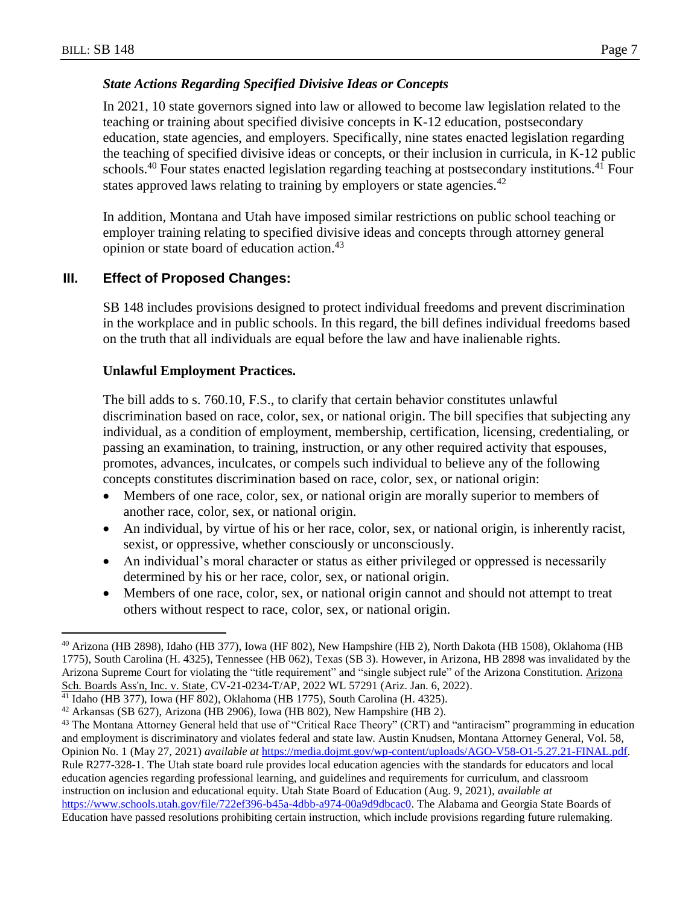$\overline{a}$ 

### *State Actions Regarding Specified Divisive Ideas or Concepts*

In 2021, 10 state governors signed into law or allowed to become law legislation related to the teaching or training about specified divisive concepts in K-12 education, postsecondary education, state agencies, and employers. Specifically, nine states enacted legislation regarding the teaching of specified divisive ideas or concepts, or their inclusion in curricula, in K-12 public schools.<sup>40</sup> Four states enacted legislation regarding teaching at postsecondary institutions.<sup>41</sup> Four states approved laws relating to training by employers or state agencies.<sup>42</sup>

In addition, Montana and Utah have imposed similar restrictions on public school teaching or employer training relating to specified divisive ideas and concepts through attorney general opinion or state board of education action.<sup>43</sup>

## **III. Effect of Proposed Changes:**

SB 148 includes provisions designed to protect individual freedoms and prevent discrimination in the workplace and in public schools. In this regard, the bill defines individual freedoms based on the truth that all individuals are equal before the law and have inalienable rights.

### **Unlawful Employment Practices.**

The bill adds to s. 760.10, F.S., to clarify that certain behavior constitutes unlawful discrimination based on race, color, sex, or national origin. The bill specifies that subjecting any individual, as a condition of employment, membership, certification, licensing, credentialing, or passing an examination, to training, instruction, or any other required activity that espouses, promotes, advances, inculcates, or compels such individual to believe any of the following concepts constitutes discrimination based on race, color, sex, or national origin:

- Members of one race, color, sex, or national origin are morally superior to members of another race, color, sex, or national origin.
- An individual, by virtue of his or her race, color, sex, or national origin, is inherently racist, sexist, or oppressive, whether consciously or unconsciously.
- An individual's moral character or status as either privileged or oppressed is necessarily determined by his or her race, color, sex, or national origin.
- Members of one race, color, sex, or national origin cannot and should not attempt to treat others without respect to race, color, sex, or national origin.

<sup>40</sup> Arizona (HB 2898), Idaho (HB 377), Iowa (HF 802), New Hampshire (HB 2), North Dakota (HB 1508), Oklahoma (HB 1775), South Carolina (H. 4325), Tennessee (HB 062), Texas (SB 3). However, in Arizona, HB 2898 was invalidated by the Arizona Supreme Court for violating the "title requirement" and "single subject rule" of the Arizona Constitution. Arizona Sch. Boards Ass'n, Inc. v. State, CV-21-0234-T/AP, 2022 WL 57291 (Ariz. Jan. 6, 2022).

<sup>41</sup> Idaho (HB 377), Iowa (HF 802), Oklahoma (HB 1775), South Carolina (H. 4325).

<sup>42</sup> Arkansas (SB 627), Arizona (HB 2906), Iowa (HB 802), New Hampshire (HB 2).

<sup>&</sup>lt;sup>43</sup> The Montana Attorney General held that use of "Critical Race Theory" (CRT) and "antiracism" programming in education and employment is discriminatory and violates federal and state law. Austin Knudsen, Montana Attorney General, Vol. 58, Opinion No. 1 (May 27, 2021) *available at* [https://media.dojmt.gov/wp-content/uploads/AGO-V58-O1-5.27.21-FINAL.pdf.](https://media.dojmt.gov/wp-content/uploads/AGO-V58-O1-5.27.21-FINAL.pdf) Rule R277-328-1. The Utah state board rule provides local education agencies with the standards for educators and local education agencies regarding professional learning, and guidelines and requirements for curriculum, and classroom instruction on inclusion and educational equity. Utah State Board of Education (Aug. 9, 2021), *available at* [https://www.schools.utah.gov/file/722ef396-b45a-4dbb-a974-00a9d9dbcac0.](https://www.schools.utah.gov/file/722ef396-b45a-4dbb-a974-00a9d9dbcac0) The Alabama and Georgia State Boards of Education have passed resolutions prohibiting certain instruction, which include provisions regarding future rulemaking.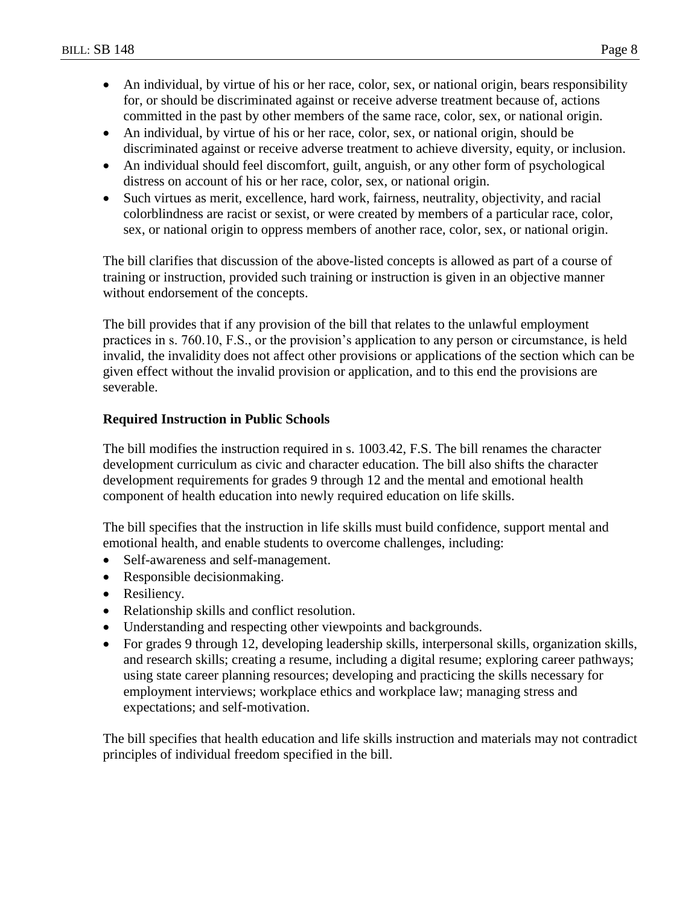- An individual, by virtue of his or her race, color, sex, or national origin, bears responsibility for, or should be discriminated against or receive adverse treatment because of, actions committed in the past by other members of the same race, color, sex, or national origin.
- An individual, by virtue of his or her race, color, sex, or national origin, should be discriminated against or receive adverse treatment to achieve diversity, equity, or inclusion.
- An individual should feel discomfort, guilt, anguish, or any other form of psychological distress on account of his or her race, color, sex, or national origin.
- Such virtues as merit, excellence, hard work, fairness, neutrality, objectivity, and racial colorblindness are racist or sexist, or were created by members of a particular race, color, sex, or national origin to oppress members of another race, color, sex, or national origin.

The bill clarifies that discussion of the above-listed concepts is allowed as part of a course of training or instruction, provided such training or instruction is given in an objective manner without endorsement of the concepts.

The bill provides that if any provision of the bill that relates to the unlawful employment practices in s. 760.10, F.S., or the provision's application to any person or circumstance, is held invalid, the invalidity does not affect other provisions or applications of the section which can be given effect without the invalid provision or application, and to this end the provisions are severable.

## **Required Instruction in Public Schools**

The bill modifies the instruction required in s. 1003.42, F.S. The bill renames the character development curriculum as civic and character education. The bill also shifts the character development requirements for grades 9 through 12 and the mental and emotional health component of health education into newly required education on life skills.

The bill specifies that the instruction in life skills must build confidence, support mental and emotional health, and enable students to overcome challenges, including:

- Self-awareness and self-management.
- Responsible decision making.
- Resiliency.
- Relationship skills and conflict resolution.
- Understanding and respecting other viewpoints and backgrounds.
- For grades 9 through 12, developing leadership skills, interpersonal skills, organization skills, and research skills; creating a resume, including a digital resume; exploring career pathways; using state career planning resources; developing and practicing the skills necessary for employment interviews; workplace ethics and workplace law; managing stress and expectations; and self-motivation.

The bill specifies that health education and life skills instruction and materials may not contradict principles of individual freedom specified in the bill.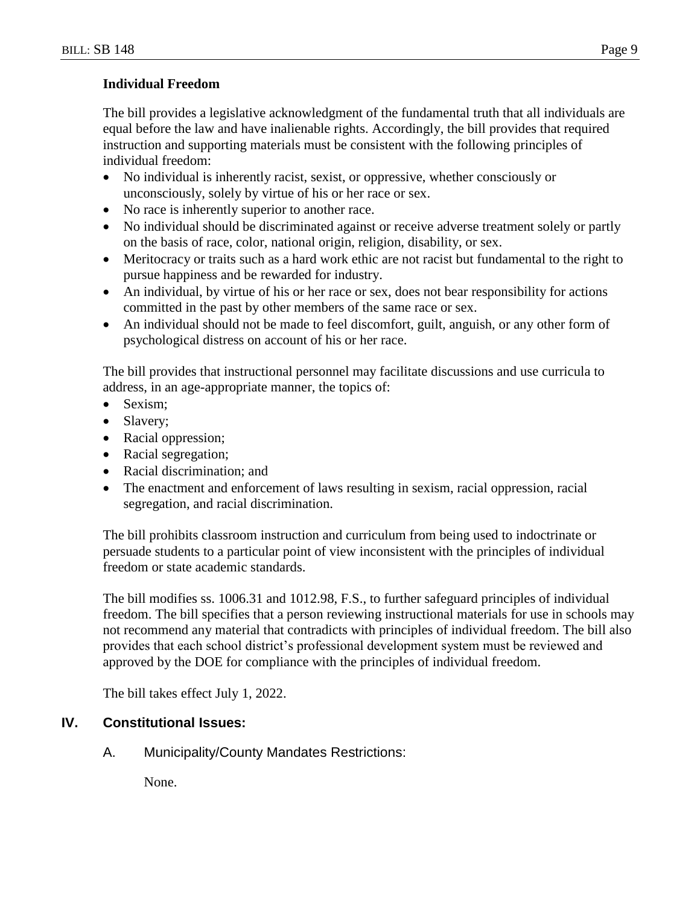### **Individual Freedom**

The bill provides a legislative acknowledgment of the fundamental truth that all individuals are equal before the law and have inalienable rights. Accordingly, the bill provides that required instruction and supporting materials must be consistent with the following principles of individual freedom:

- No individual is inherently racist, sexist, or oppressive, whether consciously or unconsciously, solely by virtue of his or her race or sex.
- No race is inherently superior to another race.
- No individual should be discriminated against or receive adverse treatment solely or partly on the basis of race, color, national origin, religion, disability, or sex.
- Meritocracy or traits such as a hard work ethic are not racist but fundamental to the right to pursue happiness and be rewarded for industry.
- An individual, by virtue of his or her race or sex, does not bear responsibility for actions committed in the past by other members of the same race or sex.
- An individual should not be made to feel discomfort, guilt, anguish, or any other form of psychological distress on account of his or her race.

The bill provides that instructional personnel may facilitate discussions and use curricula to address, in an age-appropriate manner, the topics of:

- Sexism:
- Slavery;
- Racial oppression;
- Racial segregation;
- Racial discrimination; and
- The enactment and enforcement of laws resulting in sexism, racial oppression, racial segregation, and racial discrimination.

The bill prohibits classroom instruction and curriculum from being used to indoctrinate or persuade students to a particular point of view inconsistent with the principles of individual freedom or state academic standards.

The bill modifies ss. 1006.31 and 1012.98, F.S., to further safeguard principles of individual freedom. The bill specifies that a person reviewing instructional materials for use in schools may not recommend any material that contradicts with principles of individual freedom. The bill also provides that each school district's professional development system must be reviewed and approved by the DOE for compliance with the principles of individual freedom.

The bill takes effect July 1, 2022.

# **IV. Constitutional Issues:**

A. Municipality/County Mandates Restrictions:

None.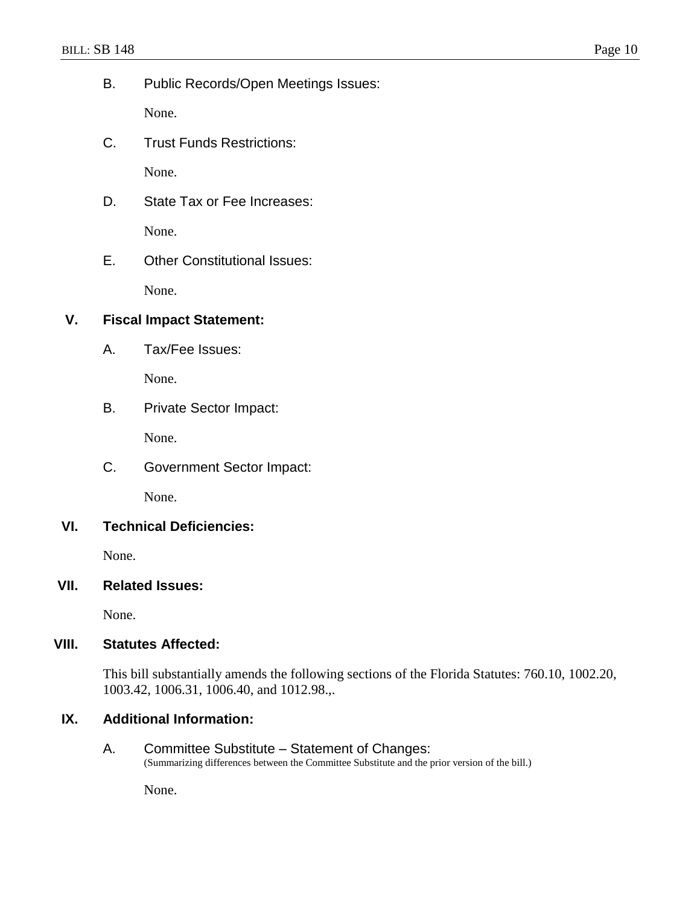B. Public Records/Open Meetings Issues:

None.

C. Trust Funds Restrictions:

None.

- D. State Tax or Fee Increases: None.
- E. Other Constitutional Issues:

None.

## **V. Fiscal Impact Statement:**

A. Tax/Fee Issues:

None.

B. Private Sector Impact:

None.

C. Government Sector Impact:

None.

## **VI. Technical Deficiencies:**

None.

## **VII. Related Issues:**

None.

# **VIII. Statutes Affected:**

This bill substantially amends the following sections of the Florida Statutes: 760.10, 1002.20, 1003.42, 1006.31, 1006.40, and 1012.98.,.

# **IX. Additional Information:**

A. Committee Substitute – Statement of Changes: (Summarizing differences between the Committee Substitute and the prior version of the bill.)

None.